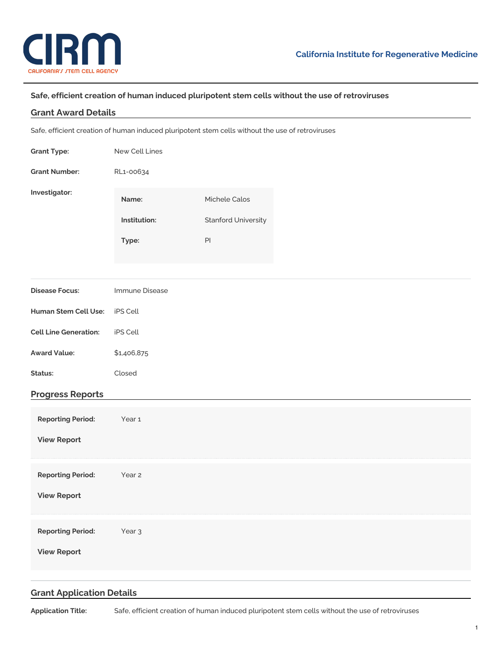

## **Safe, efficient creation of human induced pluripotent stem cells without the use of retroviruses**

### **Grant Award Details**

Safe, efficient creation of human induced pluripotent stem cells without the use of retroviruses

| <b>Grant Type:</b>           | New Cell Lines    |                            |  |  |
|------------------------------|-------------------|----------------------------|--|--|
| <b>Grant Number:</b>         | RL1-00634         |                            |  |  |
| Investigator:                | Name:             | Michele Calos              |  |  |
|                              | Institution:      | <b>Stanford University</b> |  |  |
|                              | Type:             | $\mathsf{Pl}$              |  |  |
|                              |                   |                            |  |  |
| <b>Disease Focus:</b>        | Immune Disease    |                            |  |  |
| Human Stem Cell Use:         | iPS Cell          |                            |  |  |
| <b>Cell Line Generation:</b> | iPS Cell          |                            |  |  |
| <b>Award Value:</b>          | \$1,406,875       |                            |  |  |
| Status:                      | Closed            |                            |  |  |
| <b>Progress Reports</b>      |                   |                            |  |  |
| <b>Reporting Period:</b>     | Year 1            |                            |  |  |
| <b>View Report</b>           |                   |                            |  |  |
| <b>Reporting Period:</b>     | Year 2            |                            |  |  |
| <b>View Report</b>           |                   |                            |  |  |
| <b>Reporting Period:</b>     | Year <sub>3</sub> |                            |  |  |
| <b>View Report</b>           |                   |                            |  |  |
|                              |                   |                            |  |  |

# **Grant Application Details**

**Application Title:** Safe, efficient creation of human induced pluripotent stem cells without the use of retroviruses